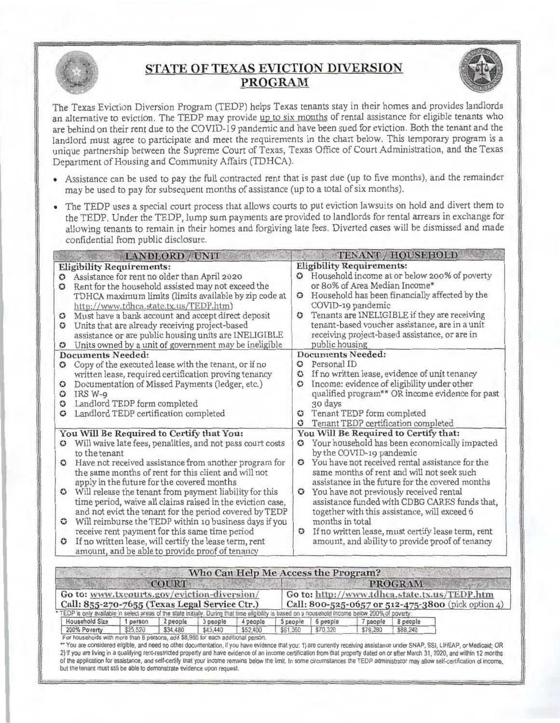

## **STATE OF TEXAS EVICTION DIVERSION PROGRAM**



The Texas Eviction Diversion Program (TEDP) helps Texas tenants stay in their homes and provides landlords an alternative to eviction. The TEDP may provide up to six months of rental assistance for eligible tenants who are behind on their rent due to the COVID-19 pandemic and have been sued for eviction . Both the tenant and the landlord must agree to participate and meet the requirements in the chart below. This temporary program is a unique partnership between the Supreme Court of Texas, Texas Office of Court Administration, and the Texas Department of Housing and Community Affairs (TDHCA).

- Assistance can be used to pay the full contracted rent that is past due (up to five months), and the remainder may be used to pay for subsequent months of assistance (up to a total of six months).
- The TEDP uses a special court process that allows courts to put eviction lawsuits on hold and divert them to the TEDP. Under the TEDP, lump sum payments are provided to landlords for rental arrears in exchange for allowing tenants to remain in their homes and forgiving late fees. Diverted cases will be dismissed and made confidential from public disclosure.

|              | <b>LANDLORD / UNIT</b>                                     |               | TENANT / HOUSEHOLD                                 |
|--------------|------------------------------------------------------------|---------------|----------------------------------------------------|
|              | <b>Eligibility Requirements:</b>                           |               | <b>Eligibility Requirements:</b>                   |
| 0            | Assistance for rent no older than April 2020               | $\bm{\omega}$ | Household income at or below 200% of poverty       |
| $\mathbf G$  | Rent for the household assisted may not exceed the         |               | or 80% of Area Median Income*                      |
|              | TDHCA maximum limits (limits available by zip code at      | $\omega$      | Household has been financially affected by the     |
|              | http://www.tdhca.state.tx.us/TEDP.htm)                     |               | COVID-19 pandemic                                  |
| $\mathbf C$  | Must have a bank account and accept direct deposit         | $\circ$       | Tenants are INELIGIBLE if they are receiving       |
| $\circ$      | Units that are already receiving project-based             |               | tenant-based voucher assistance, are in a unit     |
|              | assistance or are public housing units are INELIGIBLE      |               | receiving project-based assistance, or are in      |
| $\omega$     | Units owned by a unit of government may be ineligible      |               | public housing                                     |
|              | <b>Documents Needed:</b>                                   |               | <b>Documents Needed:</b>                           |
| $\mathbf G$  | Copy of the executed lease with the tenant, or if no       | $\omega$      | Personal ID                                        |
|              | written lease, required certification proving tenancy      | $\circ$       | If no written lease, evidence of unit tenancy      |
| $\bf G$      | Documentation of Missed Payments (ledger, etc.)            | $\circ$       | Income: evidence of eligibility under other        |
| Ο            | IRS W-9                                                    |               | qualified program** OR income evidence for past    |
| 0            | Landlord TEDP form completed                               |               | 30 days                                            |
| 0            | Landlord TEDP certification completed                      | $\bf \omega$  | Tenant TEDP form completed                         |
|              |                                                            | ٥             | Tenant TEDP certification completed                |
|              | You Will Be Required to Certify that You:                  |               | You Will Be Required to Certify that:              |
| $\mathbf{C}$ | Will waive late fees, penalities, and not pass court costs | o             | Your household has been economically impacted      |
|              | to the tenant                                              |               | by the COVID-19 pandemic                           |
| $\mathbf C$  | Have not received assistance from another program for      | $\bullet$     | You have not received rental assistance for the    |
|              | the same months of rent for this client and will not       |               | same months of rent and will not seek such         |
|              | apply in the future for the covered months                 |               | assistance in the future for the covered months    |
| $\bullet$    | Will release the tenant from payment liability for this    | $\circ$       | You have not previously received rental            |
|              | time period, waive all claims raised in the eviction case, |               | assistance funded with CDBG CARES funds that,      |
|              | and not evict the tenant for the period covered by TEDP    |               | together with this assistance, will exceed 6       |
| $\mathbf{G}$ | Will reimburse the TEDP within 10 business days if you     |               | months in total                                    |
|              | receive rent payment for this same time period             | $\circ$       | If no written lease, must certify lease term, rent |
| $\circ$      | If no written lease, will certify the lease term, rent     |               | amount, and ability to provide proof of tenancy    |
|              | amount, and be able to provide proof of tenancy            |               |                                                    |

|                                                                                                                                                     |          | <b>COURT</b> |          |          |          |                                                    |          | <b>PROGRAM</b> |                                              |  |
|-----------------------------------------------------------------------------------------------------------------------------------------------------|----------|--------------|----------|----------|----------|----------------------------------------------------|----------|----------------|----------------------------------------------|--|
| Go to: www.txcourts.gov/eviction-diversion/                                                                                                         |          |              |          |          |          |                                                    |          |                | Go to: http://www.tdhca.state.tx.us/TEDP.htm |  |
| Call: 855-270-7655 (Texas Legal Service Ctr.)                                                                                                       |          |              |          |          |          | Call: 800-525-0657 or 512-475-3800 (pick option 4) |          |                |                                              |  |
| * TEDP is only available in select areas of the state initially. During that time eligibility is based on a household income below 200% of poverty: |          |              |          |          |          |                                                    |          |                |                                              |  |
| <b>Household Size</b>                                                                                                                               | 1 person | 2 people     | 3 people | 4 people | 5 people | 6 people                                           | 7 people | 8 people       |                                              |  |
| 200% Poverty                                                                                                                                        | \$25,520 | \$34,480     | \$43,440 | \$52,400 | \$61,360 | \$70,320                                           | \$79,280 | \$88,240       |                                              |  |

2) if you are living in a qualifying rent-restricted property and have evidence of an income certification from that property dated on or after March 31, 2020, and within 12 months of the application for assistance, and self-certify that your income remains below the limit. In some circumstances the TEDP administrator may allow self-certification of income, but the tenant must still be able to demonstrate evidence upon request.